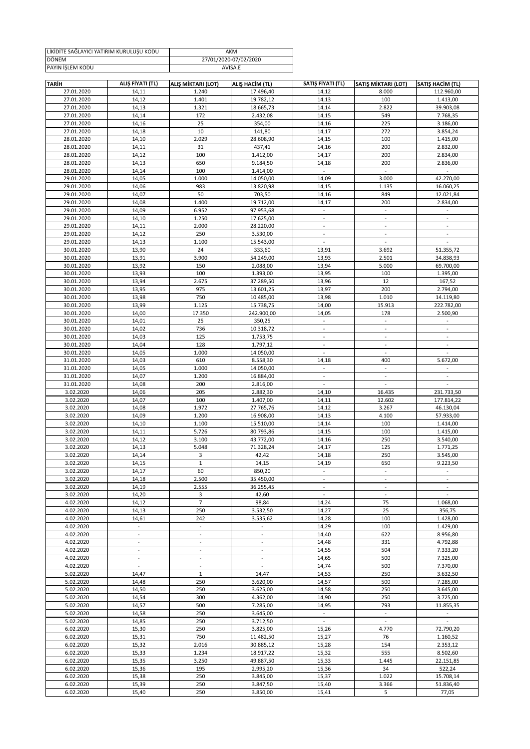| LİKİDİTE SAĞLAYICI YATIRIM KURULUŞU KODU | AKM                   |
|------------------------------------------|-----------------------|
| <b>DÖNEM</b>                             | 27/01/2020-07/02/2020 |
| PAYIN ISLEM KODU                         | AVISA.E               |

| <b>TARİH</b> | ALIŞ FİYATI (TL)         | ALIŞ MİKTARI (LOT)       | ALIŞ HACİM (TL)          | SATIŞ FİYATI (TL)         | SATIŞ MİKTARI (LOT)      | SATIS HACIM (TL)         |
|--------------|--------------------------|--------------------------|--------------------------|---------------------------|--------------------------|--------------------------|
| 27.01.2020   | 14,11                    | 1.240                    | 17.496,40                | 14,12                     | 8.000                    | 112.960,00               |
|              |                          |                          |                          |                           | 100                      |                          |
| 27.01.2020   | 14,12                    | 1.401                    | 19.782,12                | 14,13                     |                          | 1.413,00                 |
| 27.01.2020   | 14,13                    | 1.321                    | 18.665,73                | 14,14                     | 2.822                    | 39.903,08                |
| 27.01.2020   | 14,14                    | 172                      | 2.432,08                 | 14,15                     | 549                      | 7.768,35                 |
| 27.01.2020   | 14,16                    | 25                       | 354,00                   | 14,16                     | 225                      | 3.186,00                 |
|              |                          |                          |                          |                           |                          |                          |
| 27.01.2020   | 14,18                    | 10                       | 141,80                   | 14,17                     | 272                      | 3.854,24                 |
| 28.01.2020   | 14,10                    | 2.029                    | 28.608,90                | 14,15                     | 100                      | 1.415,00                 |
| 28.01.2020   | 14,11                    | 31                       | 437,41                   | 14,16                     | 200                      | 2.832,00                 |
|              |                          |                          |                          |                           |                          |                          |
| 28.01.2020   | 14,12                    | 100                      | 1.412,00                 | 14,17                     | 200                      | 2.834,00                 |
| 28.01.2020   | 14,13                    | 650                      | 9.184,50                 | 14,18                     | 200                      | 2.836,00                 |
| 28.01.2020   | 14,14                    | 100                      | 1.414,00                 | $\omega$                  | $\mathbb{R}^2$           | $\sim$                   |
|              |                          |                          |                          |                           |                          |                          |
| 29.01.2020   | 14,05                    | 1.000                    | 14.050,00                | 14,09                     | 3.000                    | 42.270,00                |
| 29.01.2020   | 14,06                    | 983                      | 13.820,98                | 14,15                     | 1.135                    | 16.060,25                |
| 29.01.2020   | 14,07                    | 50                       | 703,50                   | 14,16                     | 849                      | 12.021,84                |
|              |                          |                          |                          |                           |                          |                          |
| 29.01.2020   | 14,08                    | 1.400                    | 19.712,00                | 14,17                     | 200                      | 2.834,00                 |
| 29.01.2020   | 14,09                    | 6.952                    | 97.953,68                | $\blacksquare$            | $\mathbb{Z}^2$           |                          |
| 29.01.2020   | 14,10                    | 1.250                    | 17.625,00                | $\mathbb{L}^+$            | $\mathbb{Z}^2$           | $\mathbb{L}^+$           |
|              |                          |                          |                          |                           |                          |                          |
| 29.01.2020   | 14,11                    | 2.000                    | 28.220,00                | $\overline{\phantom{a}}$  | $\overline{\phantom{a}}$ | $\overline{\phantom{a}}$ |
| 29.01.2020   | 14,12                    | 250                      | 3.530,00                 | $\Box$                    | $\blacksquare$           | $\overline{\phantom{a}}$ |
| 29.01.2020   | 14,13                    | 1.100                    | 15.543,00                | $\overline{\phantom{a}}$  | $\sim$                   |                          |
|              |                          |                          |                          |                           |                          |                          |
| 30.01.2020   | 13,90                    | 24                       | 333,60                   | 13,91                     | 3.692                    | 51.355,72                |
| 30.01.2020   | 13,91                    | 3.900                    | 54.249,00                | 13,93                     | 2.501                    | 34.838,93                |
| 30.01.2020   | 13,92                    | 150                      | 2.088,00                 | 13,94                     | 5.000                    | 69.700,00                |
|              |                          |                          |                          |                           |                          |                          |
| 30.01.2020   | 13,93                    | 100                      | 1.393,00                 | 13,95                     | 100                      | 1.395,00                 |
| 30.01.2020   | 13,94                    | 2.675                    | 37.289,50                | 13,96                     | 12                       | 167,52                   |
| 30.01.2020   | 13,95                    | 975                      | 13.601,25                | 13,97                     | 200                      | 2.794,00                 |
|              |                          |                          |                          |                           |                          |                          |
| 30.01.2020   | 13,98                    | 750                      | 10.485,00                | 13,98                     | 1.010                    | 14.119,80                |
| 30.01.2020   | 13,99                    | 1.125                    | 15.738,75                | 14,00                     | 15.913                   | 222.782,00               |
| 30.01.2020   | 14,00                    | 17.350                   | 242.900,00               | 14,05                     | 178                      | 2.500,90                 |
|              |                          |                          |                          |                           |                          |                          |
| 30.01.2020   | 14,01                    | 25                       | 350,25                   |                           |                          |                          |
| 30.01.2020   | 14,02                    | 736                      | 10.318,72                | $\blacksquare$            | $\Box$                   | $\overline{\phantom{a}}$ |
| 30.01.2020   | 14,03                    | 125                      | 1.753,75                 | $\overline{\phantom{a}}$  | $\omega$                 | $\blacksquare$           |
|              |                          |                          |                          |                           |                          |                          |
| 30.01.2020   | 14,04                    | 128                      | 1.797,12                 | $\overline{\phantom{a}}$  | $\blacksquare$           | $\overline{\phantom{a}}$ |
| 30.01.2020   | 14,05                    | 1.000                    | 14.050,00                | $\overline{\phantom{a}}$  | $\mathcal{L}$            |                          |
| 31.01.2020   | 14,03                    | 610                      | 8.558,30                 | 14,18                     | 400                      | 5.672,00                 |
| 31.01.2020   | 14,05                    | 1.000                    | 14.050,00                | $\Box$                    | $\mathcal{L}$            | $\blacksquare$           |
|              |                          |                          |                          |                           |                          |                          |
| 31.01.2020   | 14,07                    | 1.200                    | 16.884,00                | $\overline{\phantom{a}}$  | $\blacksquare$           | $\blacksquare$           |
| 31.01.2020   | 14,08                    | 200                      | 2.816,00                 | $\Box$                    | $\mathcal{L}$            | $\overline{\phantom{a}}$ |
| 3.02.2020    | 14,06                    | 205                      | 2.882,30                 | 14,10                     | 16.435                   | 231.733,50               |
|              |                          |                          |                          |                           |                          |                          |
| 3.02.2020    | 14,07                    | 100                      | 1.407,00                 | 14,11                     | 12.602                   | 177.814,22               |
| 3.02.2020    | 14,08                    | 1.972                    | 27.765,76                | 14,12                     | 3.267                    | 46.130,04                |
|              |                          |                          |                          |                           |                          |                          |
| 3.02.2020    | 14,09                    | 1.200                    | 16.908,00                | 14,13                     | 4.100                    | 57.933,00                |
| 3.02.2020    | 14,10                    | 1.100                    | 15.510,00                | 14,14                     | 100                      | 1.414,00                 |
| 3.02.2020    | 14,11                    | 5.726                    | 80.793,86                | 14,15                     | 100                      | 1.415,00                 |
| 3.02.2020    |                          | 3.100                    |                          |                           | 250                      |                          |
|              | 14,12                    |                          | 43.772,00                | 14,16                     |                          | 3.540,00                 |
| 3.02.2020    | 14,13                    | 5.048                    | 71.328,24                | 14,17                     | 125                      | 1.771,25                 |
| 3.02.2020    | 14,14                    | 3                        | 42,42                    | 14,18                     | 250                      | 3.545,00                 |
| 3.02.2020    | 14,15                    | $\mathbf{1}$             | 14,15                    | 14,19                     | 650                      | 9.223,50                 |
|              |                          |                          |                          |                           |                          |                          |
| 3.02.2020    | 14,17                    | 60                       | 850,20                   | $\sim$                    | $\sim$                   | $\sim$                   |
| 3.02.2020    | 14,18                    | 2.500                    | 35.450,00                |                           |                          |                          |
| 3.02.2020    | 14,19                    | 2.555                    | 36.255,45                | $\sim$                    | $\sim$                   | $\blacksquare$           |
|              |                          |                          |                          |                           |                          |                          |
| 3.02.2020    | 14,20                    | 3                        | 42,60                    | $\overline{\phantom{a}}$  | $\blacksquare$           | $\overline{\phantom{a}}$ |
| 4.02.2020    | 14,12                    | $\overline{7}$           | 98,84                    | 14,24                     | 75                       | 1.068,00                 |
| 4.02.2020    | 14,13                    | 250                      | 3.532,50                 | 14,27                     | 25                       | 356,75                   |
|              |                          |                          |                          |                           |                          |                          |
| 4.02.2020    | 14,61                    | 242                      | 3.535,62                 | 14,28                     | 100                      | 1.428,00                 |
| 4.02.2020    | $\overline{\phantom{a}}$ | $\Box$                   | $\overline{\phantom{a}}$ | 14,29                     | 100                      | 1.429,00                 |
| 4.02.2020    | ÷,                       | $\overline{\phantom{a}}$ | $\overline{a}$           | 14,40                     | 622                      | 8.956,80                 |
|              |                          |                          |                          |                           |                          |                          |
| 4.02.2020    | $\blacksquare$           | $\overline{\phantom{a}}$ | $\blacksquare$           | 14,48                     | 331                      | 4.792,88                 |
| 4.02.2020    | $\blacksquare$           | $\overline{\phantom{a}}$ | $\overline{\phantom{a}}$ | 14,55                     | 504                      | 7.333,20                 |
| 4.02.2020    | $\overline{\phantom{a}}$ | $\overline{\phantom{a}}$ | $\overline{\phantom{a}}$ | 14,65                     | 500                      | 7.325,00                 |
| 4.02.2020    | $\omega$                 | $\mathbb{Z}^2$           | $\omega$                 | 14,74                     | 500                      | 7.370,00                 |
|              |                          |                          |                          |                           |                          |                          |
| 5.02.2020    | 14,47                    | $\mathbf{1}$             | 14,47                    | 14,53                     | 250                      | 3.632,50                 |
| 5.02.2020    | 14,48                    | 250                      | 3.620,00                 | 14,57                     | 500                      | 7.285,00                 |
| 5.02.2020    | 14,50                    | 250                      | 3.625,00                 | 14,58                     | 250                      | 3.645,00                 |
|              |                          |                          |                          |                           |                          |                          |
| 5.02.2020    | 14,54                    | 300                      | 4.362,00                 | 14,90                     | 250                      | 3.725,00                 |
| 5.02.2020    | 14,57                    | 500                      | 7.285,00                 | 14,95                     | 793                      | 11.855,35                |
| 5.02.2020    | 14,58                    | 250                      | 3.645,00                 | $\mathbb{L}^{\mathbb{Z}}$ | $\mathbb{L}^2$           | $\blacksquare$           |
|              |                          |                          |                          |                           |                          |                          |
| 5.02.2020    | 14,85                    | 250                      | 3.712,50                 | $\blacksquare$            | $\blacksquare$           | $\mathbf{r}$             |
| 6.02.2020    | 15,30                    | 250                      | 3.825,00                 | 15,26                     | 4.770                    | 72.790,20                |
| 6.02.2020    | 15,31                    | 750                      | 11.482,50                | 15,27                     | 76                       | 1.160,52                 |
|              |                          |                          |                          |                           |                          |                          |
| 6.02.2020    | 15,32                    | 2.016                    | 30.885,12                | 15,28                     | 154                      | 2.353,12                 |
| 6.02.2020    | 15,33                    | 1.234                    | 18.917,22                | 15,32                     | 555                      | 8.502,60                 |
| 6.02.2020    | 15,35                    | 3.250                    | 49.887,50                | 15,33                     | 1.445                    | 22.151,85                |
|              |                          |                          |                          |                           |                          |                          |
| 6.02.2020    | 15,36                    | 195                      | 2.995,20                 | 15,36                     | 34                       | 522,24                   |
| 6.02.2020    | 15,38                    | 250                      | 3.845,00                 | 15,37                     | 1.022                    | 15.708,14                |
| 6.02.2020    | 15,39                    | 250                      | 3.847,50                 | 15,40                     | 3.366                    | 51.836,40                |
|              |                          |                          |                          |                           |                          |                          |
| 6.02.2020    | 15,40                    | 250                      | 3.850,00                 | 15,41                     | 5                        | 77,05                    |